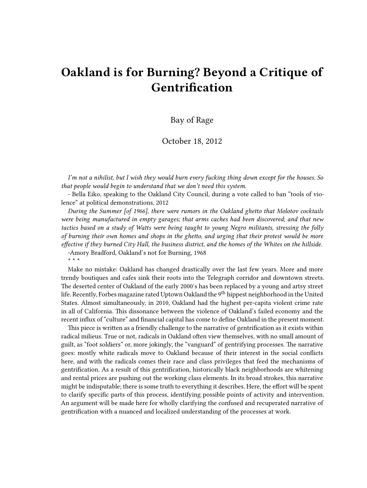# **Oakland is for Burning? Beyond a Critique of Gentrification**

## Bay of Rage

## October 18, 2012

*I'm not a nihilist, but I wish they would burn every fucking thing down except for the houses. So that people would begin to understand that we don't need this system.*

- Bella Eiko, speaking to the Oakland City Council, during a vote called to ban "tools of violence" at political demonstrations, 2012

*During the Summer [of 1966], there were rumors in the Oakland ghetto that Molotov cocktails were being manufactured in empty garages; that arms caches had been discovered; and that new tactics based on a study of Watts were being taught to young Negro militants, stressing the folly of burning their own homes and shops in the ghetto, and urging that their protest would be more effective if they burned City Hall, the business district, and the homes of the Whites on the hillside.* -Amory Bradford, Oakland's not for Burning, 1968 **\* \* \***

Make no mistake: Oakland has changed drastically over the last few years. More and more trendy boutiques and cafes sink their roots into the Telegraph corridor and downtown streets. The deserted center of Oakland of the early 2000′s has been replaced by a young and artsy street life. Recently, Forbes magazine rated Uptown Oakland the 9<sup>th</sup> hippest neighborhood in the United States. Almost simultaneously, in 2010, Oakland had the highest per-capita violent crime rate in all of California. This dissonance between the violence of Oakland's failed economy and the recent influx of "culture" and financial capital has come to define Oakland in the present moment.

This piece is written as a friendly challenge to the narrative of gentrification as it exists within radical milieus. True or not, radicals in Oakland often view themselves, with no small amount of guilt, as "foot soldiers" or, more jokingly, the "vanguard" of gentrifying processes. The narrative goes: mostly white radicals move to Oakland because of their interest in the social conflicts here, and with the radicals comes their race and class privileges that feed the mechanisms of gentrification. As a result of this gentrification, historically black neighborhoods are whitening and rental prices are pushing out the working class elements. In its broad strokes, this narrative might be indisputable; there is some truth to everything it describes. Here, the effort will be spent to clarify specific parts of this process, identifying possible points of activity and intervention. An argument will be made here for wholly clarifying the confused and recuperated narrative of gentrification with a nuanced and localized understanding of the processes at work.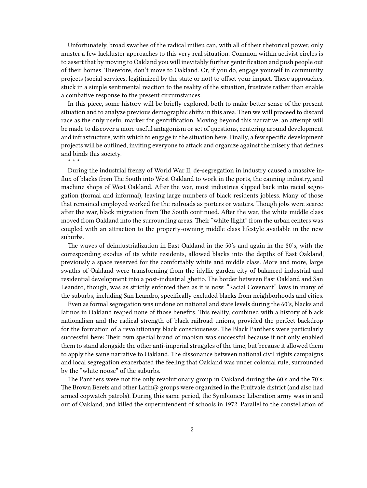Unfortunately, broad swathes of the radical milieu can, with all of their rhetorical power, only muster a few lackluster approaches to this very real situation. Common within activist circles is to assert that by moving to Oakland you will inevitably further gentrification and push people out of their homes. Therefore, don't move to Oakland. Or, if you do, engage yourself in community projects (social services, legitimized by the state or not) to offset your impact. These approaches, stuck in a simple sentimental reaction to the reality of the situation, frustrate rather than enable a combative response to the present circumstances.

In this piece, some history will be briefly explored, both to make better sense of the present situation and to analyze previous demographic shifts in this area. Then we will proceed to discard race as the only useful marker for gentrification. Moving beyond this narrative, an attempt will be made to discover a more useful antagonism or set of questions, centering around development and infrastructure, with which to engage in the situation here. Finally, a few specific development projects will be outlined, inviting everyone to attack and organize against the misery that defines and binds this society.

**\* \* \***

During the industrial frenzy of World War II, de-segregation in industry caused a massive influx of blacks from The South into West Oakland to work in the ports, the canning industry, and machine shops of West Oakland. After the war, most industries slipped back into racial segregation (formal and informal), leaving large numbers of black residents jobless. Many of those that remained employed worked for the railroads as porters or waiters. Though jobs were scarce after the war, black migration from The South continued. After the war, the white middle class moved from Oakland into the surrounding areas. Their "white flight" from the urban centers was coupled with an attraction to the property-owning middle class lifestyle available in the new suburbs.

The waves of deindustrialization in East Oakland in the 50′s and again in the 80′s, with the corresponding exodus of its white residents, allowed blacks into the depths of East Oakland, previously a space reserved for the comfortably white and middle class. More and more, large swaths of Oakland were transforming from the idyllic garden city of balanced industrial and residential development into a post-industrial ghetto. The border between East Oakland and San Leandro, though, was as strictly enforced then as it is now. "Racial Covenant" laws in many of the suburbs, including San Leandro, specifically excluded blacks from neighborhoods and cities.

Even as formal segregation was undone on national and state levels during the 60′s, blacks and latinos in Oakland reaped none of those benefits. This reality, combined with a history of black nationalism and the radical strength of black railroad unions, provided the perfect backdrop for the formation of a revolutionary black consciousness. The Black Panthers were particularly successful here: Their own special brand of maoism was successful because it not only enabled them to stand alongside the other anti-imperial struggles of the time, but because it allowed them to apply the same narrative to Oakland. The dissonance between national civil rights campaigns and local segregation exacerbated the feeling that Oakland was under colonial rule, surrounded by the "white noose" of the suburbs.

The Panthers were not the only revolutionary group in Oakland during the 60′s and the 70′s: The Brown Berets and other Latin@ groups were organized in the Fruitvale district (and also had armed copwatch patrols). During this same period, the Symbionese Liberation army was in and out of Oakland, and killed the superintendent of schools in 1972. Parallel to the constellation of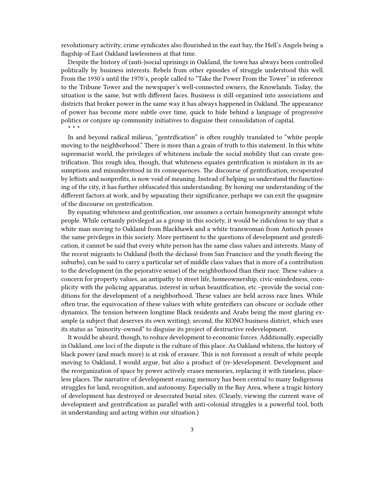revolutionary activity, crime syndicates also flourished in the east bay, the Hell's Angels being a flagship of East Oakland lawlessness at that time.

Despite the history of (anti-)social uprisings in Oakland, the town has always been controlled politically by business interests. Rebels from other episodes of struggle understood this well. From the 1930′s until the 1970′s, people called to "Take the Power From the Tower" in reference to the Tribune Tower and the newspaper's well-connected owners, the Knowlands. Today, the situation is the same, but with different faces. Business is still organized into associations and districts that broker power in the same way it has always happened in Oakland. The appearance of power has become more subtle over time, quick to hide behind a language of progressive politics or conjure up community initiatives to disguise their consolidation of capital. **\* \* \***

In and beyond radical milieus, "gentrification" is often roughly translated to "white people moving to the neighborhood." There is more than a grain of truth to this statement. In this white supremacist world, the privileges of whiteness include the social mobility that can create gentrification. This rough idea, though, that whiteness equates gentrification is mistaken in its assumptions and misunderstood in its consequences. The discourse of gentrification, recuperated by leftists and nonprofits, is now void of meaning. Instead of helping us understand the functioning of the city, it has further obfuscated this understanding. By honing our understanding of the different factors at work, and by separating their significance, perhaps we can exit the quagmire of the discourse on gentrification.

By equating whiteness and gentrification, one assumes a certain homogeneity amongst white people. While certainly privileged as a group in this society, it would be ridiculous to say that a white man moving to Oakland from Blackhawk and a white transwoman from Antioch posses the same privileges in this society. More pertinent to the questions of development and gentrification, it cannot be said that every white person has the same class values and interests. Many of the recent migrants to Oakland (both the déclassé from San Francisco and the youth fleeing the suburbs), can be said to carry a particular set of middle class values that is more of a contribution to the development (in the pejorative sense) of the neighborhood than their race. These values–a concern for property values, an antipathy to street life, homeownership, civic-mindedness, complicity with the policing apparatus, interest in urban beautification, etc.–provide the social conditions for the development of a neighborhood. These values are held across race lines. While often true, the equivocation of these values with white gentrifiers can obscure or occlude other dynamics. The tension between longtime Black residents and Arabs being the most glaring example (a subject that deserves its own writing); second, the KONO business district, which uses its status as "minority-owned" to disguise its project of destructive redevelopment.

It would be absurd, though, to reduce development to economic forces. Additionally, especially in Oakland, one loci of the dispute is the culture of this place. As Oakland whitens, the history of black power (and much more) is at risk of erasure. This is not foremost a result of white people moving to Oakland, I would argue, but also a product of (re-)development. Development and the reorganization of space by power actively erases memories, replacing it with timeless, placeless places. The narrative of development erasing memory has been central to many Indigenous struggles for land, recognition, and autonomy. Especially in the Bay Area, where a tragic history of development has destroyed or desecrated burial sites. (Clearly, viewing the current wave of development and gentrification as parallel with anti-colonial struggles is a powerful tool, both in understanding and acting within our situation.)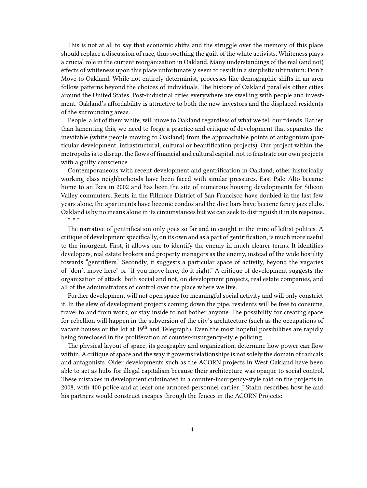This is not at all to say that economic shifts and the struggle over the memory of this place should replace a discussion of race, thus soothing the guilt of the white activists. Whiteness plays a crucial role in the current reorganization in Oakland. Many understandings of the real (and not) effects of whiteness upon this place unfortunately seem to result in a simplistic ultimatum: Don't Move to Oakland. While not entirely determinist, processes like demographic shifts in an area follow patterns beyond the choices of individuals. The history of Oakland parallels other cities around the United States. Post-industrial cities everywhere are swelling with people and investment. Oakland's affordability is attractive to both the new investors and the displaced residents of the surrounding areas.

People, a lot of them white, will move to Oakland regardless of what we tell our friends. Rather than lamenting this, we need to forge a practice and critique of development that separates the inevitable (white people moving to Oakland) from the approachable points of antagonism (particular development, infrastructural, cultural or beautification projects). Our project within the metropolis is to disrupt the flows of financial and cultural capital, not to frustrate our own projects with a guilty conscience.

Contemporaneous with recent development and gentrification in Oakland, other historically working class neighborhoods have been faced with similar pressures. East Palo Alto became home to an Ikea in 2002 and has been the site of numerous housing developments for Silicon Valley commuters. Rents in the Fillmore District of San Francisco have doubled in the last few years alone, the apartments have become condos and the dive bars have become fancy jazz clubs. Oakland is by no means alone in its circumstances but we can seek to distinguish it in its response. **\* \* \***

The narrative of gentrification only goes so far and in caught in the mire of leftist politics. A critique of development specifically, on its own and as a part of gentrification, is much more useful to the insurgent. First, it allows one to identify the enemy in much clearer terms. It identifies developers, real estate brokers and property managers as the enemy, instead of the wide hostility towards "gentrifiers." Secondly, it suggests a particular space of activity, beyond the vagaries of "don't move here" or "if you move here, do it right." A critique of development suggests the organization of attack, both social and not, on development projects, real estate companies, and all of the administrators of control over the place where we live.

Further development will not open space for meaningful social activity and will only constrict it. In the slew of development projects coming down the pipe, residents will be free to consume, travel to and from work, or stay inside to not bother anyone. The possibility for creating space for rebellion will happen in the subversion of the city's architecture (such as the occupations of vacant houses or the lot at  $19<sup>th</sup>$  and Telegraph). Even the most hopeful possibilities are rapidly being foreclosed in the proliferation of counter-insurgency-style policing.

The physical layout of space, its geography and organization, determine how power can flow within. A critique of space and the way it governs relationships is not solely the domain of radicals and antagonists. Older developments such as the ACORN projects in West Oakland have been able to act as hubs for illegal capitalism because their architecture was opaque to social control. These mistakes in development culminated in a counter-insurgency-style raid on the projects in 2008, with 400 police and at least one armored personnel carrier. J Stalin describes how he and his partners would construct escapes through the fences in the ACORN Projects: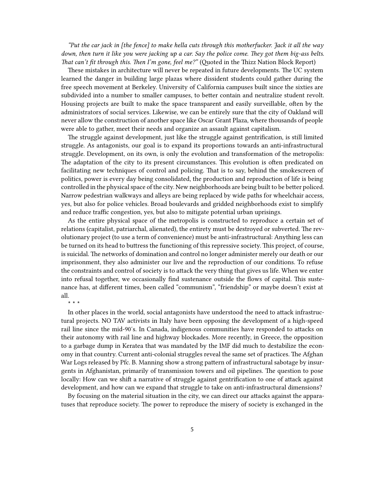*"Put the car jack in [the fence] to make hella cuts through this motherfucker. Jack it all the way down, then turn it like you were jacking up a car. Say the police come. They got them big-ass belts. That can't fit through this. Then I'm gone, feel me?"* (Quoted in the Thizz Nation Block Report)

These mistakes in architecture will never be repeated in future developments. The UC system learned the danger in building large plazas where dissident students could gather during the free speech movement at Berkeley. University of California campuses built since the sixties are subdivided into a number to smaller campuses, to better contain and neutralize student revolt. Housing projects are built to make the space transparent and easily surveillable, often by the administrators of social services. Likewise, we can be entirely sure that the city of Oakland will never allow the construction of another space like Oscar Grant Plaza, where thousands of people were able to gather, meet their needs and organize an assault against capitalism.

The struggle against development, just like the struggle against gentrification, is still limited struggle. As antagonists, our goal is to expand its proportions towards an anti-infrastructural struggle. Development, on its own, is only the evolution and transformation of the metropolis: The adaptation of the city to its present circumstances. This evolution is often predicated on facilitating new techniques of control and policing. That is to say, behind the smokescreen of politics, power is every day being consolidated, the production and reproduction of life is being controlled in the physical space of the city. New neighborhoods are being built to be better policed. Narrow pedestrian walkways and alleys are being replaced by wide paths for wheelchair access, yes, but also for police vehicles. Broad boulevards and gridded neighborhoods exist to simplify and reduce traffic congestion, yes, but also to mitigate potential urban uprisings.

As the entire physical space of the metropolis is constructed to reproduce a certain set of relations (capitalist, patriarchal, alienated), the entirety must be destroyed or subverted. The revolutionary project (to use a term of convenience) must be anti-infrastructural: Anything less can be turned on its head to buttress the functioning of this repressive society. This project, of course, is suicidal. The networks of domination and control no longer administer merely our death or our imprisonment, they also administer our live and the reproduction of our conditions. To refuse the constraints and control of society is to attack the very thing that gives us life. When we enter into refusal together, we occasionally find sustenance outside the flows of capital. This sustenance has, at different times, been called "communism", "friendship" or maybe doesn't exist at all.

**\* \* \***

In other places in the world, social antagonists have understood the need to attack infrastructural projects. NO TAV activists in Italy have been opposing the development of a high-speed rail line since the mid-90′s. In Canada, indigenous communities have responded to attacks on their autonomy with rail line and highway blockades. More recently, in Greece, the opposition to a garbage dump in Keratea that was mandated by the IMF did much to destabilize the economy in that country. Current anti-colonial struggles reveal the same set of practices. The Afghan War Logs released by Pfc. B. Manning show a strong pattern of infrastructural sabotage by insurgents in Afghanistan, primarily of transmission towers and oil pipelines. The question to pose locally: How can we shift a narrative of struggle against gentrification to one of attack against development, and how can we expand that struggle to take on anti-infrastructural dimensions?

By focusing on the material situation in the city, we can direct our attacks against the apparatuses that reproduce society. The power to reproduce the misery of society is exchanged in the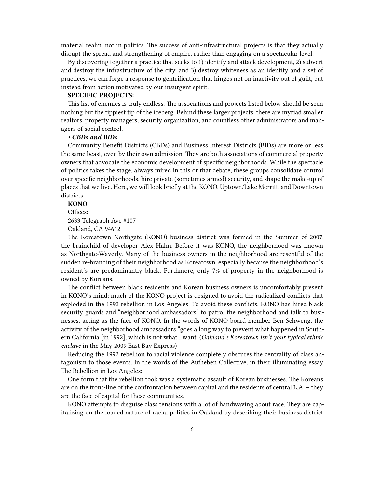material realm, not in politics. The success of anti-infrastructural projects is that they actually disrupt the spread and strengthening of empire, rather than engaging on a spectacular level.

By discovering together a practice that seeks to 1) identify and attack development, 2) subvert and destroy the infrastructure of the city, and 3) destroy whiteness as an identity and a set of practices, we can forge a response to gentrification that hinges not on inactivity out of guilt, but instead from action motivated by our insurgent spirit.

#### **SPECIFIC PROJECTS:**

This list of enemies is truly endless. The associations and projects listed below should be seen nothing but the tippiest tip of the iceberg. Behind these larger projects, there are myriad smaller realtors, property managers, security organization, and countless other administrators and managers of social control.

#### *• CBDs and BIDs*

Community Benefit Districts (CBDs) and Business Interest Districts (BIDs) are more or less the same beast, even by their own admission. They are both associations of commercial property owners that advocate the economic development of specific neighborhoods. While the spectacle of politics takes the stage, always mired in this or that debate, these groups consolidate control over specific neighborhoods, hire private (sometimes armed) security, and shape the make-up of places that we live. Here, we will look briefly at the KONO, Uptown/Lake Merritt, and Downtown districts.

## **KONO**

Offices:

2633 Telegraph Ave #107

Oakland, CA 94612

The Koreatown Northgate (KONO) business district was formed in the Summer of 2007, the brainchild of developer Alex Hahn. Before it was KONO, the neighborhood was known as Northgate-Waverly. Many of the business owners in the neighborhood are resentful of the sudden re-branding of their neighborhood as Koreatown, especially because the neighborhood's resident's are predominantly black. Furthmore, only 7% of property in the neighborhood is owned by Koreans.

The conflict between black residents and Korean business owners is uncomfortably present in KONO's mind; much of the KONO project is designed to avoid the radicalized conflicts that exploded in the 1992 rebellion in Los Angeles. To avoid these conflicts, KONO has hired black security guards and "neighborhood ambassadors" to patrol the neighborhood and talk to businesses, acting as the face of KONO. In the words of KONO board member Ben Schweng, the activity of the neighborhood ambassadors "goes a long way to prevent what happened in Southern California [in 1992], which is not what I want. (*Oakland's Koreatown isn't your typical ethnic enclave* in the May 2009 East Bay Express)

Reducing the 1992 rebellion to racial violence completely obscures the centrality of class antagonism to those events. In the words of the Aufheben Collective, in their illuminating essay The Rebellion in Los Angeles:

One form that the rebellion took was a systematic assault of Korean businesses. The Koreans are on the front-line of the confrontation between capital and the residents of central L.A. – they are the face of capital for these communities.

KONO attempts to disguise class tensions with a lot of handwaving about race. They are capitalizing on the loaded nature of racial politics in Oakland by describing their business district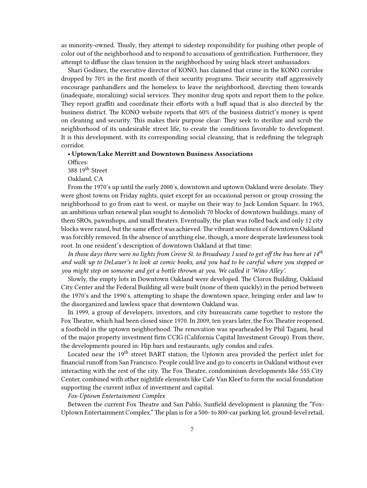as minority-owned. Thusly, they attempt to sidestep responsibility for pushing other people of color out of the neighborhood and to respond to accusations of gentrification. Furthermore, they attempt to diffuse the class tension in the neighborhood by using black street ambassadors.

Shari Godinez, the executive director of KONO, has claimed that crime in the KONO corridor dropped by 70% in the first month of their security programs. Their security staff aggressively encourage panhandlers and the homeless to leave the neighborhood, directing them towards (inadequate, moralizing) social services. They monitor drug spots and report them to the police. They report graffiti and coordinate their efforts with a buff squad that is also directed by the business district. The KONO website reports that 60% of the business district's money is spent on cleaning and security. This makes their purpose clear: They seek to sterilize and scrub the neighborhood of its undesirable street life, to create the conditions favorable to development. It is this development, with its corresponding social cleansing, that is redefining the telegraph corridor.

#### **• Uptown/Lake Merritt and Downtown Business Associations**

Offices:

388 19<sup>th</sup> Street

Oakland, CA

From the 1970′s up until the early 2000′s, downtown and uptown Oakland were desolate. They were ghost towns on Friday nights, quiet except for an occasional person or group crossing the neighborhood to go from east to west, or maybe on their way to Jack London Square. In 1965, an ambitious urban renewal plan sought to demolish 70 blocks of downtown buildings, many of them SROs, pawnshops, and small theaters. Eventually, the plan was rolled back and only 12 city blocks were razed, but the same effect was achieved. The vibrant seediness of downtown Oakland was forcibly removed. In the absence of anything else, though, a more desperate lawlessness took root. In one resident's description of downtown Oakland at that time:

*In those days there were no lights from Grove St. to Broadway. I used to get off the bus here at 14th and walk up to DeLauer's to look at comic books, and you had to be careful where you stepped or you might step on someone and get a bottle thrown at you. We called it 'Wino Alley'.*

Slowly, the empty lots in Downtown Oakland were developed. The Clorox Building, Oakland City Center and the Federal Building all were built (none of them quickly) in the period between the 1970′s and the 1990′s, attempting to shape the downtown space, bringing order and law to the disorganized and lawless space that downtown Oakland was.

In 1999, a group of developers, investors, and city bureaucrats came together to restore the Fox Theatre, which had been closed since 1970. In 2009, ten years later, the Fox Theatre reopened, a foothold in the uptown neighborhood. The renovation was spearheaded by Phil Tagami, head of the major property investment firm CCIG (California Capital Investment Group). From there, the developments poured in: Hip bars and restaurants, ugly condos and cafes.

Located near the 19<sup>th</sup> street BART station, the Uptown area provided the perfect inlet for financial runoff from San Francisco. People could live and go to concerts in Oakland without ever interacting with the rest of the city. The Fox Theatre, condominium developments like 555 City Center, combined with other nightlife elements like Cafe Van Kleef to form the social foundation supporting the current influx of investment and capital.

*Fox-Uptown Entertainment Complex*

Between the current Fox Theatre and San Pablo, Sunfield development is planning the "Fox-Uptown Entertainment Complex." The plan is for a 500- to 800-car parking lot, ground-level retail,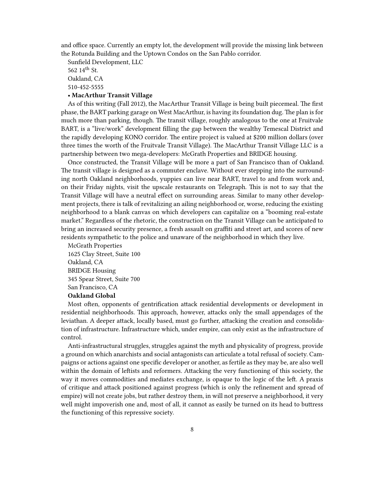and office space. Currently an empty lot, the development will provide the missing link between the Rotunda Building and the Uptown Condos on the San Pablo corridor.

Sunfield Development, LLC

562  $14^{th}$  St. Oakland, CA

510-452-5555

### **• MacArthur Transit Village**

As of this writing (Fall 2012), the MacArthur Transit Village is being built piecemeal. The first phase, the BART parking garage on West MacArthur, is having its foundation dug. The plan is for much more than parking, though. The transit village, roughly analogous to the one at Fruitvale BART, is a "live/work" development filling the gap between the wealthy Temescal District and the rapidly developing KONO corridor. The entire project is valued at \$200 million dollars (over three times the worth of the Fruitvale Transit Village). The MacArthur Transit Village LLC is a partnership between two mega-developers: McGrath Properties and BRIDGE housing.

Once constructed, the Transit Village will be more a part of San Francisco than of Oakland. The transit village is designed as a commuter enclave. Without ever stepping into the surrounding north Oakland neighborhoods, yuppies can live near BART, travel to and from work and, on their Friday nights, visit the upscale restaurants on Telegraph. This is not to say that the Transit Village will have a neutral effect on surrounding areas. Similar to many other development projects, there is talk of revitalizing an ailing neighborhood or, worse, reducing the existing neighborhood to a blank canvas on which developers can capitalize on a "booming real-estate market." Regardless of the rhetoric, the construction on the Transit Village can be anticipated to bring an increased security presence, a fresh assault on graffiti and street art, and scores of new residents sympathetic to the police and unaware of the neighborhood in which they live.

McGrath Properties 1625 Clay Street, Suite 100 Oakland, CA BRIDGE Housing 345 Spear Street, Suite 700 San Francisco, CA **Oakland Global**

Most often, opponents of gentrification attack residential developments or development in residential neighborhoods. This approach, however, attacks only the small appendages of the leviathan. A deeper attack, locally based, must go further, attacking the creation and consolidation of infrastructure. Infrastructure which, under empire, can only exist as the infrastructure of control.

Anti-infrastructural struggles, struggles against the myth and physicality of progress, provide a ground on which anarchists and social antagonists can articulate a total refusal of society. Campaigns or actions against one specific developer or another, as fertile as they may be, are also well within the domain of leftists and reformers. Attacking the very functioning of this society, the way it moves commodities and mediates exchange, is opaque to the logic of the left. A praxis of critique and attack positioned against progress (which is only the refinement and spread of empire) will not create jobs, but rather destroy them, in will not preserve a neighborhood, it very well might impoverish one and, most of all, it cannot as easily be turned on its head to buttress the functioning of this repressive society.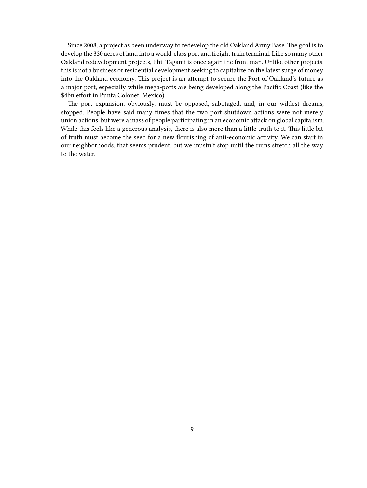Since 2008, a project as been underway to redevelop the old Oakland Army Base. The goal is to develop the 330 acres of land into a world-class port and freight train terminal. Like so many other Oakland redevelopment projects, Phil Tagami is once again the front man. Unlike other projects, this is not a business or residential development seeking to capitalize on the latest surge of money into the Oakland economy. This project is an attempt to secure the Port of Oakland's future as a major port, especially while mega-ports are being developed along the Pacific Coast (like the \$4bn effort in Punta Colonet, Mexico).

The port expansion, obviously, must be opposed, sabotaged, and, in our wildest dreams, stopped. People have said many times that the two port shutdown actions were not merely union actions, but were a mass of people participating in an economic attack on global capitalism. While this feels like a generous analysis, there is also more than a little truth to it. This little bit of truth must become the seed for a new flourishing of anti-economic activity. We can start in our neighborhoods, that seems prudent, but we mustn't stop until the ruins stretch all the way to the water.